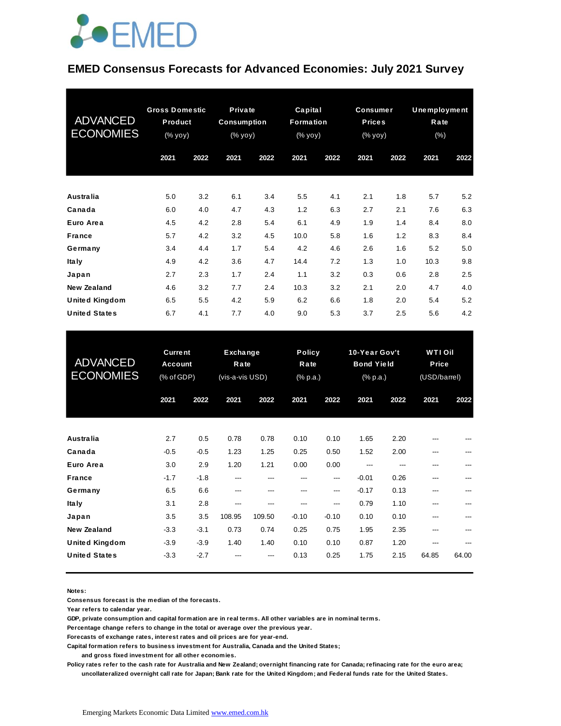## **JOEMED**

#### **EMED Consensus Forecasts for Advanced Economies: July 2021 Survey**

| <b>ADVANCED</b><br><b>ECONOMIES</b> | <b>Gross Domestic</b><br>Product<br>(% yoy) |      | Private<br><b>Consumption</b><br>$(\%$ yoy) |      | Capital<br><b>Formation</b><br>(% yoy) |      | <b>Consumer</b><br><b>Prices</b><br>(% yoy) |      | Unemployment<br>Rate<br>(% ) |      |
|-------------------------------------|---------------------------------------------|------|---------------------------------------------|------|----------------------------------------|------|---------------------------------------------|------|------------------------------|------|
|                                     | 2021                                        | 2022 | 2021                                        | 2022 | 2021                                   | 2022 | 2021                                        | 2022 | 2021                         | 2022 |
|                                     |                                             |      |                                             |      |                                        |      |                                             |      |                              |      |
| Australia                           | 5.0                                         | 3.2  | 6.1                                         | 3.4  | 5.5                                    | 4.1  | 2.1                                         | 1.8  | 5.7                          | 5.2  |
| Canada                              | 6.0                                         | 4.0  | 4.7                                         | 4.3  | 1.2                                    | 6.3  | 2.7                                         | 2.1  | 7.6                          | 6.3  |
| Euro Area                           | 4.5                                         | 4.2  | 2.8                                         | 5.4  | 6.1                                    | 4.9  | 1.9                                         | 1.4  | 8.4                          | 8.0  |
| <b>France</b>                       | 5.7                                         | 4.2  | 3.2                                         | 4.5  | 10.0                                   | 5.8  | 1.6                                         | 1.2  | 8.3                          | 8.4  |
| Germany                             | 3.4                                         | 4.4  | 1.7                                         | 5.4  | 4.2                                    | 4.6  | 2.6                                         | 1.6  | 5.2                          | 5.0  |
| <b>Italy</b>                        | 4.9                                         | 4.2  | 3.6                                         | 4.7  | 14.4                                   | 7.2  | 1.3                                         | 1.0  | 10.3                         | 9.8  |
| Japan                               | 2.7                                         | 2.3  | 1.7                                         | 2.4  | 1.1                                    | 3.2  | 0.3                                         | 0.6  | 2.8                          | 2.5  |
| New Zealand                         | 4.6                                         | 3.2  | 7.7                                         | 2.4  | 10.3                                   | 3.2  | 2.1                                         | 2.0  | 4.7                          | 4.0  |
| <b>United Kingdom</b>               | 6.5                                         | 5.5  | 4.2                                         | 5.9  | 6.2                                    | 6.6  | 1.8                                         | 2.0  | 5.4                          | 5.2  |
| <b>United States</b>                | 6.7                                         | 4.1  | 7.7                                         | 4.0  | 9.0                                    | 5.3  | 3.7                                         | 2.5  | 5.6                          | 4.2  |

| <b>United States</b>                | 6.7                                            | 4.1    | 7.7                                        | 4.0    | 9.0                               | 5.3     | 3.7                                                               | 2.5  | 5.6                                     | 4.2   |
|-------------------------------------|------------------------------------------------|--------|--------------------------------------------|--------|-----------------------------------|---------|-------------------------------------------------------------------|------|-----------------------------------------|-------|
| <b>ADVANCED</b><br><b>ECONOMIES</b> | <b>Current</b><br><b>Account</b><br>(% of GDP) |        | <b>Exchange</b><br>Rate<br>(vis-a-vis USD) |        | <b>Policy</b><br>Rate<br>(% p.a.) |         | 10-Year Gov't<br><b>Bond Yield</b><br>$(% \mathbb{R}^2)$ (% p.a.) |      | <b>WTI Oil</b><br>Price<br>(USD/barrel) |       |
|                                     | 2021                                           | 2022   | 2021                                       | 2022   | 2021                              | 2022    | 2021                                                              | 2022 | 2021                                    | 2022  |
| Australia                           | 2.7                                            | 0.5    | 0.78                                       | 0.78   | 0.10                              | 0.10    | 1.65                                                              | 2.20 |                                         |       |
| Canada                              | $-0.5$                                         | $-0.5$ | 1.23                                       | 1.25   | 0.25                              | 0.50    | 1.52                                                              | 2.00 | ---                                     | ---   |
| Euro Area                           | 3.0                                            | 2.9    | 1.20                                       | 1.21   | 0.00                              | 0.00    | ---                                                               | ---  | ---                                     | ---   |
| <b>France</b>                       | $-1.7$                                         | $-1.8$ | ---                                        | ---    | ---                               | ---     | $-0.01$                                                           | 0.26 | ---                                     | ---   |
| Germany                             | 6.5                                            | 6.6    | ---                                        | ---    | ---                               | ---     | $-0.17$                                                           | 0.13 | ---                                     |       |
| <b>Italy</b>                        | 3.1                                            | 2.8    | ---                                        | ---    | ---                               | ---     | 0.79                                                              | 1.10 | ---                                     |       |
| Japan                               | 3.5                                            | 3.5    | 108.95                                     | 109.50 | $-0.10$                           | $-0.10$ | 0.10                                                              | 0.10 | ---                                     |       |
| <b>New Zealand</b>                  | $-3.3$                                         | $-3.1$ | 0.73                                       | 0.74   | 0.25                              | 0.75    | 1.95                                                              | 2.35 | ---                                     |       |
| <b>United Kingdom</b>               | $-3.9$                                         | $-3.9$ | 1.40                                       | 1.40   | 0.10                              | 0.10    | 0.87                                                              | 1.20 |                                         |       |
| <b>United States</b>                | $-3.3$                                         | $-2.7$ |                                            |        | 0.13                              | 0.25    | 1.75                                                              | 2.15 | 64.85                                   | 64.00 |

**Notes:** 

**Consensus forecast is the median of the forecasts.**

**Year refers to calendar year.**

**GDP, private consumption and capital formation are in real terms. All other variables are in nominal terms.**

**Percentage change refers to change in the total or average over the previous year.**

**Forecasts of exchange rates, interest rates and oil prices are for year-end.**

**Capital formation refers to business investment for Australia, Canada and the United States;**

 **and gross fixed investment for all other economies.**

**Policy rates refer to the cash rate for Australia and New Zealand; overnight financing rate for Canada; refinacing rate for the euro area; uncollateralized overnight call rate for Japan; Bank rate for the United Kingdom; and Federal funds rate for the United States.**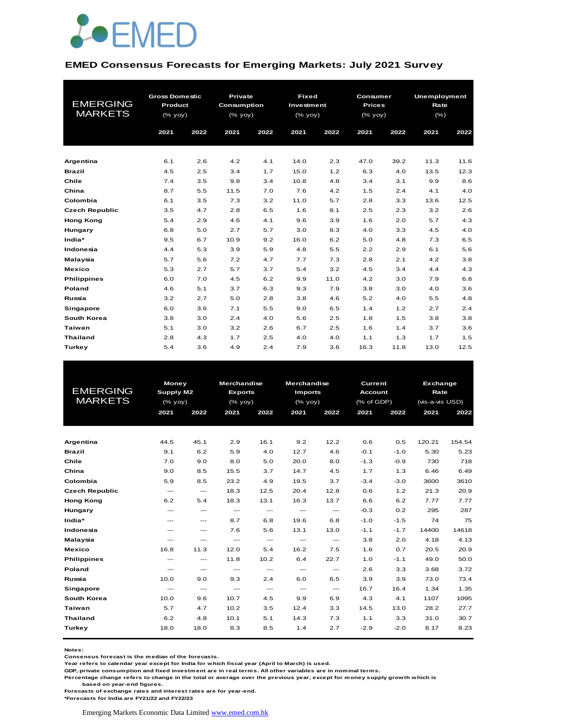

#### **EMED Consensus Forecasts for Emerging Markets: July 2021 Survey**

|                       | <b>Gross Domestic</b> |      | Private            |      | <b>Fixed</b> |      | Consumer      |      | <b>Unemployment</b> |      |
|-----------------------|-----------------------|------|--------------------|------|--------------|------|---------------|------|---------------------|------|
| <b>EMERGING</b>       | Product               |      | <b>Consumption</b> |      | Investment   |      | <b>Prices</b> |      | Rate                |      |
| <b>MARKETS</b>        | (% yoy)               |      | (% yoy)            |      | (% yoy)      |      | (% yoy)       |      | $(\% )$             |      |
|                       | 2021                  | 2022 | 2021               | 2022 | 2021         | 2022 | 2021          | 2022 | 2021                | 2022 |
|                       |                       |      |                    |      |              |      |               |      |                     |      |
|                       |                       |      |                    |      |              |      |               |      |                     |      |
| Argentina             | 6.1                   | 2.6  | 4.2                | 4.1  | 14.0         | 2.3  | 47.0          | 39.2 | 11.3                | 11.6 |
| Brazil                | 4.5                   | 2.5  | 3.4                | 1.7  | 15.0         | 1.2  | 6.3           | 4.0  | 13.5                | 12.3 |
| Chile                 | 7.4                   | 3.5  | 9.8                | 3.4  | 10.8         | 4.8  | 3.4           | 3.1  | 9.9                 | 8.6  |
| China                 | 8.7                   | 5.5  | 11.5               | 7.0  | 7.6          | 4.2  | 1.5           | 2.4  | 4.1                 | 4.0  |
| Colombia              | 6.1                   | 3.5  | 7.3                | 3.2  | 11.0         | 5.7  | 2.8           | 3.3  | 13.6                | 12.5 |
| <b>Czech Republic</b> | 3.5                   | 4.7  | 2.8                | 6.5  | 1.6          | 8.1  | 2.5           | 2.3  | 3.2                 | 2.6  |
| <b>Hong Kong</b>      | 5.4                   | 2.9  | 4.6                | 4.1  | 9.6          | 3.9  | 1.6           | 2.0  | 5.7                 | 4.3  |
| Hungary               | 6.8                   | 5.0  | 2.7                | 5.7  | 3.0          | 8.3  | 4.0           | 3.3  | 4.5                 | 4.0  |
| India*                | 9.5                   | 6.7  | 10.9               | 9.2  | 16.0         | 6.2  | 5.0           | 4.8  | 7.3                 | 6.5  |
| Indonesia             | 4.4                   | 5.3  | 3.9                | 5.9  | 4.8          | 5.5  | 2.2           | 2.9  | 6.1                 | 5.6  |
| Malaysia              | 5.7                   | 5.6  | 7.2                | 4.7  | 7.7          | 7.3  | 2.8           | 2.1  | 4.2                 | 3.8  |
| <b>Mexico</b>         | 5.3                   | 2.7  | 5.7                | 3.7  | 5.4          | 3.2  | 4.5           | 3.4  | 4.4                 | 4.3  |
| <b>Philippines</b>    | 6.0                   | 7.0  | 4.5                | 6.2  | 9.9          | 11.0 | 4.2           | 3.0  | 7.9                 | 6.8  |
| Poland                | 4.6                   | 5.1  | 3.7                | 6.3  | 9.3          | 7.9  | 3.8           | 3.0  | 4.0                 | 3.6  |
| Russia                | 3.2                   | 2.7  | 5.0                | 2.8  | 3.8          | 4.6  | 5.2           | 4.0  | 5.5                 | 4.8  |
| Singapore             | 6.0                   | 3.6  | 7.1                | 5.5  | 9.0          | 6.5  | 1.4           | 1.2  | 2.7                 | 2.4  |
| South Korea           | 3.8                   | 3.0  | 2.4                | 4.0  | 5.6          | 2.5  | 1.8           | 1.5  | 3.8                 | 3.8  |
| Taiwan                | 5.1                   | 3.0  | 3.2                | 2.6  | 6.7          | 2.5  | 1.6           | 1.4  | 3.7                 | 3.6  |
| <b>Thailand</b>       | 2.8                   | 4.3  | 1.7                | 2.5  | 4.0          | 4.0  | 1.1           | 1.3  | 1.7                 | 1.5  |
| Turkey                | 5.4                   | 3.6  | 4.9                | 2.4  | 7.9          | 3.6  | 16.3          | 11.8 | 13.0                | 12.5 |

|                       | Money                  |                                                                    | <b>Merchandise</b>       |                          | <b>Merchandise</b>       |                        | Current    |                | Exchange        |        |  |
|-----------------------|------------------------|--------------------------------------------------------------------|--------------------------|--------------------------|--------------------------|------------------------|------------|----------------|-----------------|--------|--|
| <b>EMERGING</b>       | Supply M2              |                                                                    | <b>Exports</b>           |                          | <b>Imports</b>           |                        |            | <b>Account</b> |                 | Rate   |  |
| <b>MARKETS</b>        |                        | $(% \mathsf{Y}^{\prime }\mathsf{Y}^{\prime }\mathsf{Y}^{\prime })$ |                          | (% yoy)                  | (% yoy)                  |                        | (% of GDP) |                | (vis-a-vis USD) |        |  |
|                       | 2021                   | 2022                                                               | 2021                     | 2022                     | 2021                     | 2022                   | 2021       | 2022           | 2021            | 2022   |  |
|                       |                        |                                                                    |                          |                          |                          |                        |            |                |                 |        |  |
|                       |                        |                                                                    |                          |                          |                          |                        |            |                |                 |        |  |
| Argentina             | 44.5                   | 45.1                                                               | 2.9                      | 16.1                     | 9.2                      | 12.2                   | 0.6        | 0.5            | 120.21          | 154.54 |  |
| <b>Brazil</b>         | 9.1                    | 6.2                                                                | 5.9                      | 4.0                      | 12.7                     | 4.6                    | $-0.1$     | $-1.0$         | 5.30            | 5.23   |  |
| Chile                 | 7.0                    | 9.0                                                                | 8.0                      | 5.0                      | 20.0                     | 8.0                    | $-1.3$     | $-0.9$         | 730             | 718    |  |
| China                 | 9.0                    | 8.5                                                                | 15.5                     | 3.7                      | 14.7                     | 4.5                    | 1.7        | 1.3            | 6.46            | 6.49   |  |
| Colombia              | 5.9                    | 8.5                                                                | 23.2                     | 4.9                      | 19.5                     | 3.7                    | $-3.4$     | $-3.0$         | 3600            | 3610   |  |
| <b>Czech Republic</b> | $---$                  | $\hspace{0.05cm} \ldots$                                           | 18.3                     | 12.5                     | 20.4                     | 12.8                   | 0.6        | 1.2            | 21.3            | 20.9   |  |
| <b>Hong Kong</b>      | 6.2                    | 5.4                                                                | 18.3                     | 13.1                     | 16.3                     | 13.7                   | 6.6        | 6.2            | 7.77            | 7.77   |  |
| Hungary               | $---$                  | $\cdots$                                                           | $\cdots$                 | $\cdots$                 | $\cdots$                 | $\cdots$               | $-0.3$     | 0.2            | 295             | 287    |  |
| India*                | ---                    | $\cdots$                                                           | 8.7                      | 6.8                      | 19.6                     | 6.8                    | $-1.0$     | $-1.5$         | 74              | 75     |  |
| Indonesia             | ---                    | $\cdots$                                                           | 7.6                      | 5.6                      | 13.1                     | 13.0                   | $-1.1$     | $-1.7$         | 14400           | 14618  |  |
| Malaysia              | ---                    | ---                                                                | $\qquad \qquad \cdots$   | $\qquad \qquad \cdots$   | ---                      | $\qquad \qquad \cdots$ | 3.8        | 2.0            | 4.18            | 4.13   |  |
| <b>Mexico</b>         | 16.8                   | 11.3                                                               | 12.0                     | 5.4                      | 16.2                     | 7.5                    | 1.6        | 0.7            | 20.5            | 20.9   |  |
| <b>Philippines</b>    | $\qquad \qquad \cdots$ | $\cdots$                                                           | 11.8                     | 10.2                     | 6.4                      | 22.7                   | 1.0        | $-1.1$         | 49.0            | 50.0   |  |
| <b>Poland</b>         | ---                    | $\qquad \qquad \cdots$                                             | $\hspace{0.05cm} \ldots$ | $\hspace{0.05cm} \ldots$ | $\hspace{0.05cm} \ldots$ | $\qquad \qquad \cdots$ | 2.6        | 3.3            | 3.68            | 3.72   |  |
| Russia                | 10.0                   | 9.0                                                                | 9.3                      | 2.4                      | 6.0                      | 6.5                    | 3.9        | 3.9            | 73.0            | 73.4   |  |
| Singapore             | $---$                  | $\cdots$                                                           | $---$                    | $\hspace{0.05cm} \ldots$ | $---$                    | $\overline{a}$         | 16.7       | 16.4           | 1.34            | 1.35   |  |
| South Korea           | 10.0                   | 9.6                                                                | 10.7                     | 4.5                      | 9.9                      | 6.9                    | 4.3        | 4.1            | 1107            | 1095   |  |
| Taiwan                | 5.7                    | 4.7                                                                | 10.2                     | 3.5                      | 12.4                     | 3.3                    | 14.5       | 13.0           | 28.2            | 27.7   |  |
| <b>Thailand</b>       | 6.2                    | 4.8                                                                | 10.1                     | 5.1                      | 14.3                     | 7.3                    | 1.1        | 3.3            | 31.0            | 30.7   |  |
| Turkey                | 18.0                   | 18.0                                                               | 8.3                      | 8.5                      | 1.4                      | 2.7                    | $-2.9$     | $-2.0$         | 8.17            | 8.23   |  |
|                       |                        |                                                                    |                          |                          |                          |                        |            |                |                 |        |  |

**Notes:** 

**Consensus forecast is the median of the forecasts.**

**Year refers to calendar year except for India for which fiscal year (April to March) is used.**

**GDP, private consumption and fixed investment are in real terms. All other variables are in nominal terms.**

**Percentage change refers to change in the total or average over the previous year, except for money supply growth which is** 

 **based on year-end figures.**

**Forecasts of exchange rates and interest rates are for year-end.**

**\*Forecasts for India are FY21/22 and FY22/23**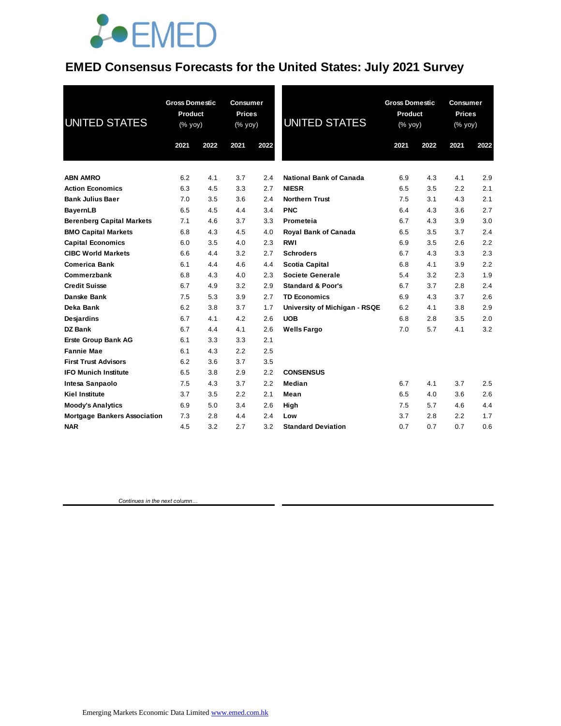

#### **EMED Consensus Forecasts for the United States: July 2021 Survey**

| <b>UNITED STATES</b>                | <b>Gross Domestic</b><br>Product<br>(% yoy) |      | <b>Consumer</b><br><b>Prices</b><br>(% yoy) |      | <b>UNITED STATES</b>           | <b>Gross Domestic</b><br>Product<br>(% yoy) |      | <b>Consumer</b><br><b>Prices</b><br>(% yoy) |      |
|-------------------------------------|---------------------------------------------|------|---------------------------------------------|------|--------------------------------|---------------------------------------------|------|---------------------------------------------|------|
|                                     | 2021                                        | 2022 | 2021                                        | 2022 |                                | 2021                                        | 2022 | 2021                                        | 2022 |
| <b>ABN AMRO</b>                     | 6.2                                         | 4.1  | 3.7                                         | 2.4  | <b>National Bank of Canada</b> | 6.9                                         | 4.3  | 4.1                                         | 2.9  |
| <b>Action Economics</b>             | 6.3                                         | 4.5  | 3.3                                         | 2.7  | <b>NIESR</b>                   | 6.5                                         | 3.5  | 2.2                                         | 2.1  |
| <b>Bank Julius Baer</b>             | 7.0                                         | 3.5  | 3.6                                         | 2.4  | <b>Northern Trust</b>          | 7.5                                         | 3.1  | 4.3                                         | 2.1  |
| <b>BayernLB</b>                     | 6.5                                         | 4.5  | 4.4                                         | 3.4  | <b>PNC</b>                     | 6.4                                         | 4.3  | 3.6                                         | 2.7  |
| <b>Berenberg Capital Markets</b>    | 7.1                                         | 4.6  | 3.7                                         | 3.3  | Prometeia                      | 6.7                                         | 4.3  | 3.9                                         | 3.0  |
| <b>BMO Capital Markets</b>          | 6.8                                         | 4.3  | 4.5                                         | 4.0  | Royal Bank of Canada           | 6.5                                         | 3.5  | 3.7                                         | 2.4  |
| <b>Capital Economics</b>            | 6.0                                         | 3.5  | 4.0                                         | 2.3  | <b>RWI</b>                     | 6.9                                         | 3.5  | 2.6                                         | 2.2  |
| <b>CIBC World Markets</b>           | 6.6                                         | 4.4  | 3.2                                         | 2.7  | <b>Schroders</b>               | 6.7                                         | 4.3  | 3.3                                         | 2.3  |
| <b>Comerica Bank</b>                | 6.1                                         | 4.4  | 4.6                                         | 4.4  | <b>Scotia Capital</b>          | 6.8                                         | 4.1  | 3.9                                         | 2.2  |
| Commerzbank                         | 6.8                                         | 4.3  | 4.0                                         | 2.3  | <b>Societe Generale</b>        | 5.4                                         | 3.2  | 2.3                                         | 1.9  |
| <b>Credit Suisse</b>                | 6.7                                         | 4.9  | 3.2                                         | 2.9  | <b>Standard &amp; Poor's</b>   | 6.7                                         | 3.7  | 2.8                                         | 2.4  |
| Danske Bank                         | 7.5                                         | 5.3  | 3.9                                         | 2.7  | <b>TD Economics</b>            | 6.9                                         | 4.3  | 3.7                                         | 2.6  |
| Deka Bank                           | 6.2                                         | 3.8  | 3.7                                         | 1.7  | University of Michigan - RSQE  | 6.2                                         | 4.1  | 3.8                                         | 2.9  |
| Desjardins                          | 6.7                                         | 4.1  | 4.2                                         | 2.6  | <b>UOB</b>                     | 6.8                                         | 2.8  | 3.5                                         | 2.0  |
| <b>DZ Bank</b>                      | 6.7                                         | 4.4  | 4.1                                         | 2.6  | <b>Wells Fargo</b>             | 7.0                                         | 5.7  | 4.1                                         | 3.2  |
| <b>Erste Group Bank AG</b>          | 6.1                                         | 3.3  | 3.3                                         | 2.1  |                                |                                             |      |                                             |      |
| <b>Fannie Mae</b>                   | 6.1                                         | 4.3  | 2.2                                         | 2.5  |                                |                                             |      |                                             |      |
| <b>First Trust Advisors</b>         | 6.2                                         | 3.6  | 3.7                                         | 3.5  |                                |                                             |      |                                             |      |
| <b>IFO Munich Institute</b>         | 6.5                                         | 3.8  | 2.9                                         | 2.2  | <b>CONSENSUS</b>               |                                             |      |                                             |      |
| Intesa Sanpaolo                     | 7.5                                         | 4.3  | 3.7                                         | 2.2  | Median                         | 6.7                                         | 4.1  | 3.7                                         | 2.5  |
| <b>Kiel Institute</b>               | 3.7                                         | 3.5  | 2.2                                         | 2.1  | Mean                           | 6.5                                         | 4.0  | 3.6                                         | 2.6  |
| <b>Moody's Analytics</b>            | 6.9                                         | 5.0  | 3.4                                         | 2.6  | High                           | 7.5                                         | 5.7  | 4.6                                         | 4.4  |
| <b>Mortgage Bankers Association</b> | 7.3                                         | 2.8  | 4.4                                         | 2.4  | Low                            | 3.7                                         | 2.8  | 2.2                                         | 1.7  |
| <b>NAR</b>                          | 4.5                                         | 3.2  | 2.7                                         | 3.2  | <b>Standard Deviation</b>      | 0.7                                         | 0.7  | 0.7                                         | 0.6  |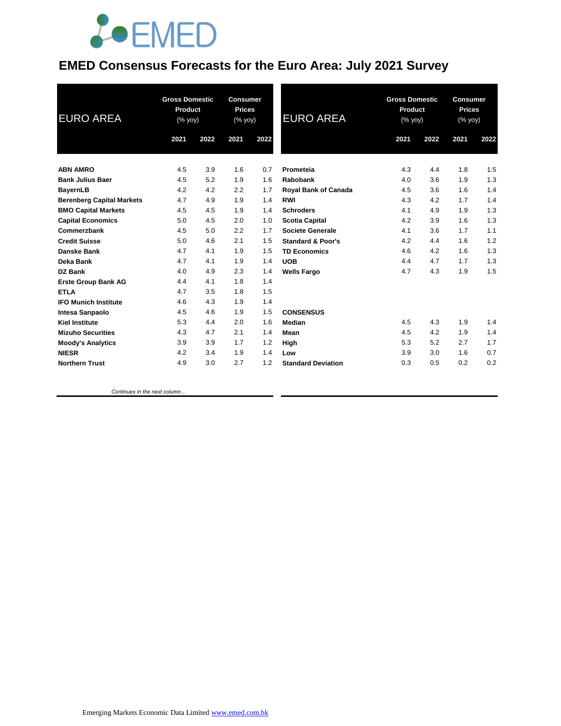

### **EMED Consensus Forecasts for the Euro Area: July 2021 Survey**

| <b>EURO AREA</b>                 | <b>Gross Domestic</b><br>Product<br>$(%$ yoy) |      | <b>Consumer</b><br><b>Prices</b><br>(% yoy) |      | <b>EURO AREA</b>             | <b>Gross Domestic</b><br><b>Product</b><br>$(%$ yoy) |      | <b>Consumer</b><br><b>Prices</b><br>(% yoy) |      |
|----------------------------------|-----------------------------------------------|------|---------------------------------------------|------|------------------------------|------------------------------------------------------|------|---------------------------------------------|------|
|                                  | 2021                                          | 2022 | 2021                                        | 2022 |                              | 2021                                                 | 2022 | 2021                                        | 2022 |
| <b>ABN AMRO</b>                  | 4.5                                           | 3.9  | 1.6                                         | 0.7  | Prometeia                    | 4.3                                                  | 4.4  | 1.8                                         | 1.5  |
| <b>Bank Julius Baer</b>          | 4.5                                           | 5.2  | 1.9                                         | 1.6  | Rabobank                     | 4.0                                                  | 3.6  | 1.9                                         | 1.3  |
| <b>BayernLB</b>                  | 4.2                                           | 4.2  | 2.2                                         | 1.7  | Royal Bank of Canada         | 4.5                                                  | 3.6  | 1.6                                         | 1.4  |
| <b>Berenberg Capital Markets</b> | 4.7                                           | 4.9  | 1.9                                         | 1.4  | <b>RWI</b>                   | 4.3                                                  | 4.2  | 1.7                                         | 1.4  |
| <b>BMO Capital Markets</b>       | 4.5                                           | 4.5  | 1.9                                         | 1.4  | <b>Schroders</b>             | 4.1                                                  | 4.9  | 1.9                                         | 1.3  |
| <b>Capital Economics</b>         | 5.0                                           | 4.5  | 2.0                                         | 1.0  | <b>Scotia Capital</b>        | 4.2                                                  | 3.9  | 1.6                                         | 1.3  |
| Commerzbank                      | 4.5                                           | 5.0  | 2.2                                         | 1.7  | <b>Societe Generale</b>      | 4.1                                                  | 3.6  | 1.7                                         | 1.1  |
| <b>Credit Suisse</b>             | 5.0                                           | 4.6  | 2.1                                         | 1.5  | <b>Standard &amp; Poor's</b> | 4.2                                                  | 4.4  | 1.6                                         | 1.2  |
| <b>Danske Bank</b>               | 4.7                                           | 4.1  | 1.9                                         | 1.5  | <b>TD Economics</b>          | 4.6                                                  | 4.2  | 1.6                                         | 1.3  |
| Deka Bank                        | 4.7                                           | 4.1  | 1.9                                         | 1.4  | <b>UOB</b>                   | 4.4                                                  | 4.7  | 1.7                                         | 1.3  |
| DZ Bank                          | 4.0                                           | 4.9  | 2.3                                         | 1.4  | <b>Wells Fargo</b>           | 4.7                                                  | 4.3  | 1.9                                         | 1.5  |
| <b>Erste Group Bank AG</b>       | 4.4                                           | 4.1  | 1.8                                         | 1.4  |                              |                                                      |      |                                             |      |
| <b>ETLA</b>                      | 4.7                                           | 3.5  | 1.8                                         | 1.5  |                              |                                                      |      |                                             |      |
| <b>IFO Munich Institute</b>      | 4.6                                           | 4.3  | 1.9                                         | 1.4  |                              |                                                      |      |                                             |      |
| <b>Intesa Sanpaolo</b>           | 4.5                                           | 4.6  | 1.9                                         | 1.5  | <b>CONSENSUS</b>             |                                                      |      |                                             |      |
| <b>Kiel Institute</b>            | 5.3                                           | 4.4  | 2.0                                         | 1.6  | Median                       | 4.5                                                  | 4.3  | 1.9                                         | 1.4  |
| <b>Mizuho Securities</b>         | 4.3                                           | 4.7  | 2.1                                         | 1.4  | Mean                         | 4.5                                                  | 4.2  | 1.9                                         | 1.4  |
| <b>Moody's Analytics</b>         | 3.9                                           | 3.9  | 1.7                                         | 1.2  | High                         | 5.3                                                  | 5.2  | 2.7                                         | 1.7  |
| <b>NIESR</b>                     | 4.2                                           | 3.4  | 1.9                                         | 1.4  | Low                          | 3.9                                                  | 3.0  | 1.6                                         | 0.7  |
| <b>Northern Trust</b>            | 4.9                                           | 3.0  | 2.7                                         | 1.2  | <b>Standard Deviation</b>    | 0.3                                                  | 0.5  | 0.2                                         | 0.2  |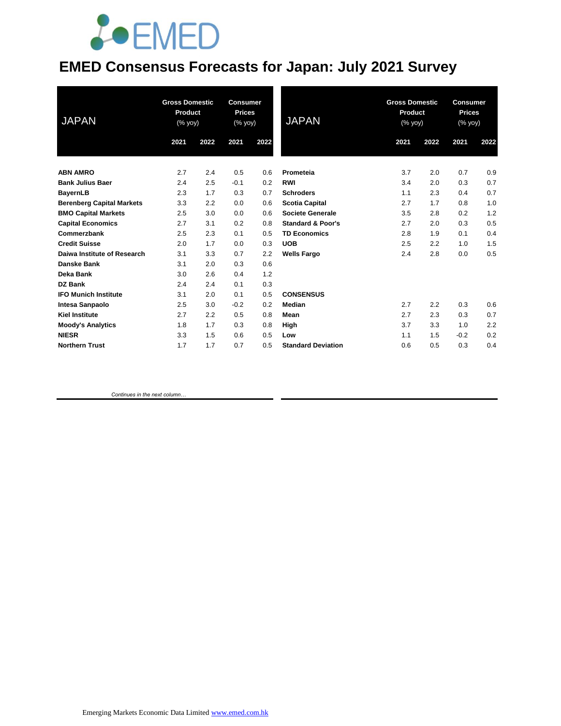# **JOEMED**

### **EMED Consensus Forecasts for Japan: July 2021 Survey**

| <b>JAPAN</b>                     | <b>Gross Domestic</b><br>Product<br>(% yoy) |      | <b>Consumer</b><br><b>Prices</b><br>(% yoy) |      | <b>JAPAN</b>                 | <b>Gross Domestic</b><br>Product<br>(% yoy) |      | <b>Consumer</b><br><b>Prices</b><br>(% yoy) |      |
|----------------------------------|---------------------------------------------|------|---------------------------------------------|------|------------------------------|---------------------------------------------|------|---------------------------------------------|------|
|                                  | 2021                                        | 2022 | 2021                                        | 2022 |                              | 2021                                        | 2022 | 2021                                        | 2022 |
| <b>ABN AMRO</b>                  | 2.7                                         | 2.4  | 0.5                                         | 0.6  | Prometeia                    | 3.7                                         | 2.0  | 0.7                                         | 0.9  |
| <b>Bank Julius Baer</b>          | 2.4                                         | 2.5  | $-0.1$                                      | 0.2  | <b>RWI</b>                   | 3.4                                         | 2.0  | 0.3                                         | 0.7  |
| <b>BayernLB</b>                  | 2.3                                         | 1.7  | 0.3                                         | 0.7  | <b>Schroders</b>             | 1.1                                         | 2.3  | 0.4                                         | 0.7  |
| <b>Berenberg Capital Markets</b> | 3.3                                         | 2.2  | 0.0                                         | 0.6  | <b>Scotia Capital</b>        | 2.7                                         | 1.7  | 0.8                                         | 1.0  |
| <b>BMO Capital Markets</b>       | 2.5                                         | 3.0  | 0.0                                         | 0.6  | Societe Generale             | 3.5                                         | 2.8  | 0.2                                         | 1.2  |
| <b>Capital Economics</b>         | 2.7                                         | 3.1  | 0.2                                         | 0.8  | <b>Standard &amp; Poor's</b> | 2.7                                         | 2.0  | 0.3                                         | 0.5  |
| Commerzbank                      | 2.5                                         | 2.3  | 0.1                                         | 0.5  | <b>TD Economics</b>          | 2.8                                         | 1.9  | 0.1                                         | 0.4  |
| <b>Credit Suisse</b>             | 2.0                                         | 1.7  | 0.0                                         | 0.3  | <b>UOB</b>                   | 2.5                                         | 2.2  | 1.0                                         | 1.5  |
| Daiwa Institute of Research      | 3.1                                         | 3.3  | 0.7                                         | 2.2  | <b>Wells Fargo</b>           | 2.4                                         | 2.8  | 0.0                                         | 0.5  |
| Danske Bank                      | 3.1                                         | 2.0  | 0.3                                         | 0.6  |                              |                                             |      |                                             |      |
| <b>Deka Bank</b>                 | 3.0                                         | 2.6  | 0.4                                         | 1.2  |                              |                                             |      |                                             |      |
| DZ Bank                          | 2.4                                         | 2.4  | 0.1                                         | 0.3  |                              |                                             |      |                                             |      |
| <b>IFO Munich Institute</b>      | 3.1                                         | 2.0  | 0.1                                         | 0.5  | <b>CONSENSUS</b>             |                                             |      |                                             |      |
| <b>Intesa Sanpaolo</b>           | 2.5                                         | 3.0  | $-0.2$                                      | 0.2  | <b>Median</b>                | 2.7                                         | 2.2  | 0.3                                         | 0.6  |
| <b>Kiel Institute</b>            | 2.7                                         | 2.2  | 0.5                                         | 0.8  | Mean                         | 2.7                                         | 2.3  | 0.3                                         | 0.7  |
| <b>Moody's Analytics</b>         | 1.8                                         | 1.7  | 0.3                                         | 0.8  | High                         | 3.7                                         | 3.3  | 1.0                                         | 2.2  |
| <b>NIESR</b>                     | 3.3                                         | 1.5  | 0.6                                         | 0.5  | Low                          | 1.1                                         | 1.5  | $-0.2$                                      | 0.2  |
| <b>Northern Trust</b>            | 1.7                                         | 1.7  | 0.7                                         | 0.5  | <b>Standard Deviation</b>    | 0.6                                         | 0.5  | 0.3                                         | 0.4  |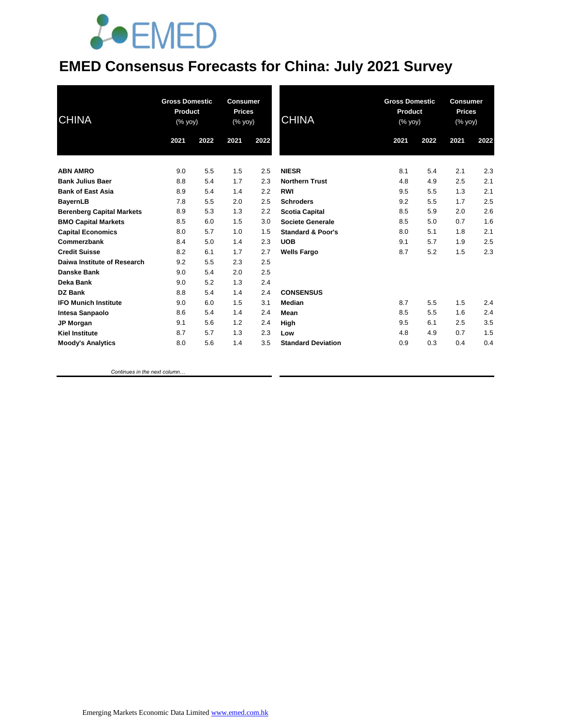# *<u>LOEMED</u>*

### **EMED Consensus Forecasts for China: July 2021 Survey**

| <b>CHINA</b>                     | <b>Gross Domestic</b><br>Product<br>(% yoy) |      | <b>Consumer</b><br><b>Prices</b><br>$(% \mathsf{Y}^{\prime }\mathsf{Y}^{\prime }\mathsf{Y})$ (% $\mathsf{Y}^{\prime }\mathsf{Y})$ |      | CHINA                        | <b>Gross Domestic</b><br>Product<br>(% yoy) |      | <b>Consumer</b><br><b>Prices</b><br>(% yoy) |      |
|----------------------------------|---------------------------------------------|------|-----------------------------------------------------------------------------------------------------------------------------------|------|------------------------------|---------------------------------------------|------|---------------------------------------------|------|
|                                  | 2021                                        | 2022 | 2021                                                                                                                              | 2022 |                              | 2021                                        | 2022 | 2021                                        | 2022 |
| <b>ABN AMRO</b>                  | 9.0                                         | 5.5  | 1.5                                                                                                                               | 2.5  | <b>NIESR</b>                 | 8.1                                         | 5.4  | 2.1                                         | 2.3  |
| <b>Bank Julius Baer</b>          | 8.8                                         | 5.4  | 1.7                                                                                                                               | 2.3  | <b>Northern Trust</b>        | 4.8                                         | 4.9  | 2.5                                         | 2.1  |
| <b>Bank of East Asia</b>         | 8.9                                         | 5.4  | 1.4                                                                                                                               | 2.2  | <b>RWI</b>                   | 9.5                                         | 5.5  | 1.3                                         | 2.1  |
| <b>BayernLB</b>                  | 7.8                                         | 5.5  | 2.0                                                                                                                               | 2.5  | <b>Schroders</b>             | 9.2                                         | 5.5  | 1.7                                         | 2.5  |
| <b>Berenberg Capital Markets</b> | 8.9                                         | 5.3  | 1.3                                                                                                                               | 2.2  | <b>Scotia Capital</b>        | 8.5                                         | 5.9  | 2.0                                         | 2.6  |
| <b>BMO Capital Markets</b>       | 8.5                                         | 6.0  | 1.5                                                                                                                               | 3.0  | Societe Generale             | 8.5                                         | 5.0  | 0.7                                         | 1.6  |
| <b>Capital Economics</b>         | 8.0                                         | 5.7  | 1.0                                                                                                                               | 1.5  | <b>Standard &amp; Poor's</b> | 8.0                                         | 5.1  | 1.8                                         | 2.1  |
| Commerzbank                      | 8.4                                         | 5.0  | 1.4                                                                                                                               | 2.3  | <b>UOB</b>                   | 9.1                                         | 5.7  | 1.9                                         | 2.5  |
| <b>Credit Suisse</b>             | 8.2                                         | 6.1  | 1.7                                                                                                                               | 2.7  | <b>Wells Fargo</b>           | 8.7                                         | 5.2  | 1.5                                         | 2.3  |
| Daiwa Institute of Research      | 9.2                                         | 5.5  | 2.3                                                                                                                               | 2.5  |                              |                                             |      |                                             |      |
| Danske Bank                      | 9.0                                         | 5.4  | 2.0                                                                                                                               | 2.5  |                              |                                             |      |                                             |      |
| Deka Bank                        | 9.0                                         | 5.2  | 1.3                                                                                                                               | 2.4  |                              |                                             |      |                                             |      |
| <b>DZ Bank</b>                   | 8.8                                         | 5.4  | 1.4                                                                                                                               | 2.4  | <b>CONSENSUS</b>             |                                             |      |                                             |      |
| <b>IFO Munich Institute</b>      | 9.0                                         | 6.0  | 1.5                                                                                                                               | 3.1  | Median                       | 8.7                                         | 5.5  | 1.5                                         | 2.4  |
| Intesa Sanpaolo                  | 8.6                                         | 5.4  | 1.4                                                                                                                               | 2.4  | Mean                         | 8.5                                         | 5.5  | 1.6                                         | 2.4  |
| JP Morgan                        | 9.1                                         | 5.6  | 1.2                                                                                                                               | 2.4  | High                         | 9.5                                         | 6.1  | 2.5                                         | 3.5  |
| <b>Kiel Institute</b>            | 8.7                                         | 5.7  | 1.3                                                                                                                               | 2.3  | Low                          | 4.8                                         | 4.9  | 0.7                                         | 1.5  |
| <b>Moody's Analytics</b>         | 8.0                                         | 5.6  | 1.4                                                                                                                               | 3.5  | <b>Standard Deviation</b>    | 0.9                                         | 0.3  | 0.4                                         | 0.4  |